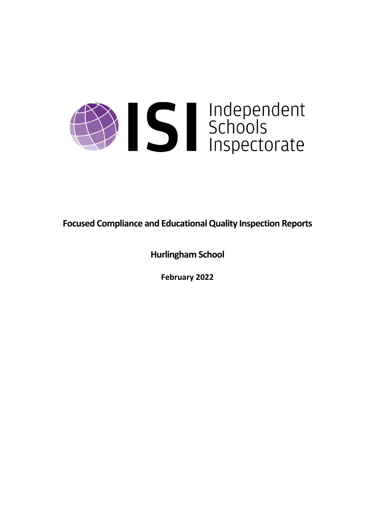

**Focused Compliance and EducationalQuality Inspection Reports**

**Hurlingham School**

**February 2022**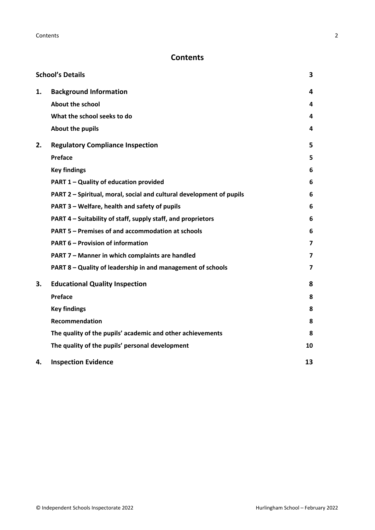# **Contents**

|    | <b>School's Details</b>                                              | 3                       |
|----|----------------------------------------------------------------------|-------------------------|
| 1. | <b>Background Information</b>                                        | 4                       |
|    | <b>About the school</b>                                              | 4                       |
|    | What the school seeks to do                                          | 4                       |
|    | About the pupils                                                     | 4                       |
| 2. | <b>Regulatory Compliance Inspection</b>                              | 5                       |
|    | Preface                                                              | 5                       |
|    | <b>Key findings</b>                                                  | 6                       |
|    | PART 1 - Quality of education provided                               | 6                       |
|    | PART 2 - Spiritual, moral, social and cultural development of pupils | 6                       |
|    | PART 3 - Welfare, health and safety of pupils                        | 6                       |
|    | PART 4 – Suitability of staff, supply staff, and proprietors         | 6                       |
|    | PART 5 - Premises of and accommodation at schools                    | 6                       |
|    | <b>PART 6 - Provision of information</b>                             | $\overline{\mathbf{z}}$ |
|    | PART 7 - Manner in which complaints are handled                      | $\overline{7}$          |
|    | PART 8 - Quality of leadership in and management of schools          | $\overline{\mathbf{z}}$ |
| 3. | <b>Educational Quality Inspection</b>                                | 8                       |
|    | Preface                                                              | 8                       |
|    | <b>Key findings</b>                                                  | 8                       |
|    | <b>Recommendation</b>                                                | 8                       |
|    | The quality of the pupils' academic and other achievements           | 8                       |
|    | The quality of the pupils' personal development                      | 10                      |
| 4. | <b>Inspection Evidence</b>                                           | 13                      |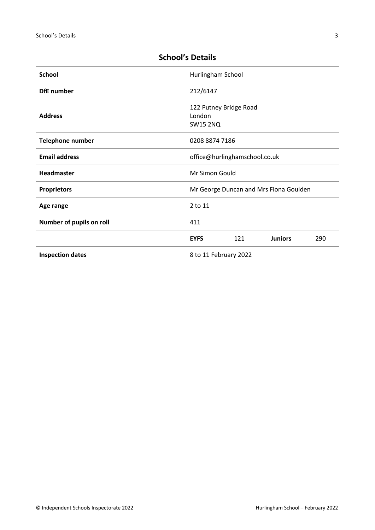| <b>School</b>                                    | Hurlingham School                                   |     |                |     |
|--------------------------------------------------|-----------------------------------------------------|-----|----------------|-----|
| <b>DfE</b> number                                | 212/6147                                            |     |                |     |
| <b>Address</b>                                   | 122 Putney Bridge Road<br>London<br><b>SW15 2NQ</b> |     |                |     |
| <b>Telephone number</b>                          | 0208 8874 7186                                      |     |                |     |
| <b>Email address</b>                             | office@hurlinghamschool.co.uk                       |     |                |     |
| Headmaster                                       | Mr Simon Gould                                      |     |                |     |
| <b>Proprietors</b>                               | Mr George Duncan and Mrs Fiona Goulden              |     |                |     |
| Age range                                        | 2 to 11                                             |     |                |     |
| Number of pupils on roll                         | 411                                                 |     |                |     |
|                                                  | <b>EYFS</b>                                         | 121 | <b>Juniors</b> | 290 |
| <b>Inspection dates</b><br>8 to 11 February 2022 |                                                     |     |                |     |

# <span id="page-2-0"></span>**School's Details**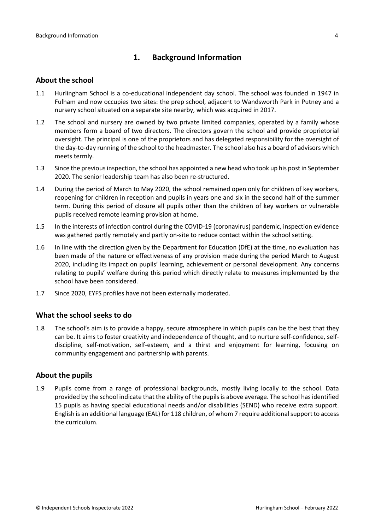# <span id="page-3-0"></span>**1. Background Information**

#### <span id="page-3-1"></span>**About the school**

- 1.1 Hurlingham School is a co-educational independent day school. The school was founded in 1947 in Fulham and now occupies two sites: the prep school, adjacent to Wandsworth Park in Putney and a nursery school situated on a separate site nearby, which was acquired in 2017.
- 1.2 The school and nursery are owned by two private limited companies, operated by a family whose members form a board of two directors. The directors govern the school and provide proprietorial oversight. The principal is one of the proprietors and has delegated responsibility for the oversight of the day-to-day running of the school to the headmaster. The school also has a board of advisors which meets termly.
- 1.3 Since the previous inspection, the school has appointed a new head who took up his post in September 2020. The senior leadership team has also been re-structured.
- 1.4 During the period of March to May 2020, the school remained open only for children of key workers, reopening for children in reception and pupils in years one and six in the second half of the summer term. During this period of closure all pupils other than the children of key workers or vulnerable pupils received remote learning provision at home.
- 1.5 In the interests of infection control during the COVID-19 (coronavirus) pandemic, inspection evidence was gathered partly remotely and partly on-site to reduce contact within the school setting.
- 1.6 In line with the direction given by the Department for Education (DfE) at the time, no evaluation has been made of the nature or effectiveness of any provision made during the period March to August 2020, including its impact on pupils' learning, achievement or personal development. Any concerns relating to pupils' welfare during this period which directly relate to measures implemented by the school have been considered.
- 1.7 Since 2020, EYFS profiles have not been externally moderated.

## <span id="page-3-2"></span>**What the school seeks to do**

1.8 The school's aim is to provide a happy, secure atmosphere in which pupils can be the best that they can be. It aims to foster creativity and independence of thought, and to nurture self-confidence, selfdiscipline, self-motivation, self-esteem, and a thirst and enjoyment for learning, focusing on community engagement and partnership with parents.

## <span id="page-3-3"></span>**About the pupils**

1.9 Pupils come from a range of professional backgrounds, mostly living locally to the school. Data provided by the school indicate that the ability of the pupilsis above average. The school hasidentified 15 pupils as having special educational needs and/or disabilities (SEND) who receive extra support. English is an additional language (EAL) for 118 children, of whom 7 require additionalsupport to access the curriculum.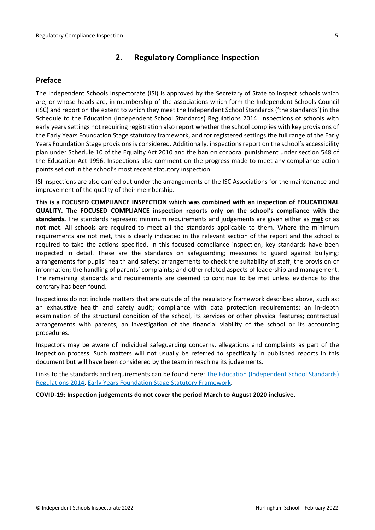# <span id="page-4-0"></span>**2. Regulatory Compliance Inspection**

# <span id="page-4-1"></span>**Preface**

The Independent Schools Inspectorate (ISI) is approved by the Secretary of State to inspect schools which are, or whose heads are, in membership of the associations which form the Independent Schools Council (ISC) and report on the extent to which they meet the Independent School Standards ('the standards') in the Schedule to the Education (Independent School Standards) Regulations 2014. Inspections of schools with early years settings not requiring registration also report whether the school complies with key provisions of the Early Years Foundation Stage statutory framework, and for registered settings the full range of the Early Years Foundation Stage provisions is considered. Additionally, inspections report on the school's accessibility plan under Schedule 10 of the Equality Act 2010 and the ban on corporal punishment under section 548 of the Education Act 1996. Inspections also comment on the progress made to meet any compliance action points set out in the school's most recent statutory inspection.

ISI inspections are also carried out under the arrangements of the ISC Associations for the maintenance and improvement of the quality of their membership.

**This is a FOCUSED COMPLIANCE INSPECTION which was combined with an inspection of EDUCATIONAL QUALITY. The FOCUSED COMPLIANCE inspection reports only on the school's compliance with the standards.** The standards represent minimum requirements and judgements are given either as **met** or as **not met**. All schools are required to meet all the standards applicable to them. Where the minimum requirements are not met, this is clearly indicated in the relevant section of the report and the school is required to take the actions specified. In this focused compliance inspection, key standards have been inspected in detail. These are the standards on safeguarding; measures to guard against bullying; arrangements for pupils' health and safety; arrangements to check the suitability of staff; the provision of information; the handling of parents' complaints; and other related aspects of leadership and management. The remaining standards and requirements are deemed to continue to be met unless evidence to the contrary has been found.

Inspections do not include matters that are outside of the regulatory framework described above, such as: an exhaustive health and safety audit; compliance with data protection requirements; an in-depth examination of the structural condition of the school, its services or other physical features; contractual arrangements with parents; an investigation of the financial viability of the school or its accounting procedures.

Inspectors may be aware of individual safeguarding concerns, allegations and complaints as part of the inspection process. Such matters will not usually be referred to specifically in published reports in this document but will have been considered by the team in reaching its judgements.

Links to the standards and requirements can be found here: The Education [\(Independent](http://www.legislation.gov.uk/uksi/2014/3283/contents/made) School Standards) [Regulations](http://www.legislation.gov.uk/uksi/2014/3283/contents/made) 2014, Early Years Foundation Stage Statutory [Framework.](https://www.gov.uk/government/publications/early-years-foundation-stage-framework--2)

**COVID-19: Inspection judgements do not cover the period March to August 2020 inclusive.**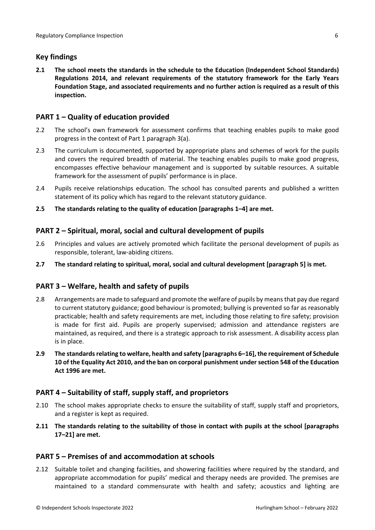# <span id="page-5-0"></span>**Key findings**

**2.1 The school meets the standards in the schedule to the Education (Independent School Standards) Regulations 2014, and relevant requirements of the statutory framework for the Early Years Foundation Stage, and associated requirements and no further action is required as a result of this inspection.**

# <span id="page-5-1"></span>**PART 1 – Quality of education provided**

- 2.2 The school's own framework for assessment confirms that teaching enables pupils to make good progress in the context of Part 1 paragraph 3(a).
- 2.3 The curriculum is documented, supported by appropriate plans and schemes of work for the pupils and covers the required breadth of material. The teaching enables pupils to make good progress, encompasses effective behaviour management and is supported by suitable resources. A suitable framework for the assessment of pupils' performance is in place.
- 2.4 Pupils receive relationships education. The school has consulted parents and published a written statement of its policy which has regard to the relevant statutory guidance.
- **2.5 The standards relating to the quality of education [paragraphs 1–4] are met.**

# <span id="page-5-2"></span>**PART 2 – Spiritual, moral, social and cultural development of pupils**

- 2.6 Principles and values are actively promoted which facilitate the personal development of pupils as responsible, tolerant, law-abiding citizens.
- **2.7 The standard relating to spiritual, moral, social and cultural development [paragraph 5] is met.**

## <span id="page-5-3"></span>**PART 3 – Welfare, health and safety of pupils**

- 2.8 Arrangements are made to safeguard and promote the welfare of pupils by means that pay due regard to current statutory guidance; good behaviour is promoted; bullying is prevented so far as reasonably practicable; health and safety requirements are met, including those relating to fire safety; provision is made for first aid. Pupils are properly supervised; admission and attendance registers are maintained, as required, and there is a strategic approach to risk assessment. A disability access plan is in place.
- **2.9 The standardsrelating to welfare, health and safety [paragraphs 6–16], the requirement of Schedule 10 of the Equality Act 2010, and the ban on corporal punishment undersection 548 of the Education Act 1996 are met.**

## <span id="page-5-4"></span>**PART 4 – Suitability of staff, supply staff, and proprietors**

- 2.10 The school makes appropriate checks to ensure the suitability of staff, supply staff and proprietors, and a register is kept as required.
- **2.11 The standards relating to the suitability of those in contact with pupils at the school [paragraphs 17–21] are met.**

## <span id="page-5-5"></span>**PART 5 – Premises of and accommodation at schools**

2.12 Suitable toilet and changing facilities, and showering facilities where required by the standard, and appropriate accommodation for pupils' medical and therapy needs are provided. The premises are maintained to a standard commensurate with health and safety; acoustics and lighting are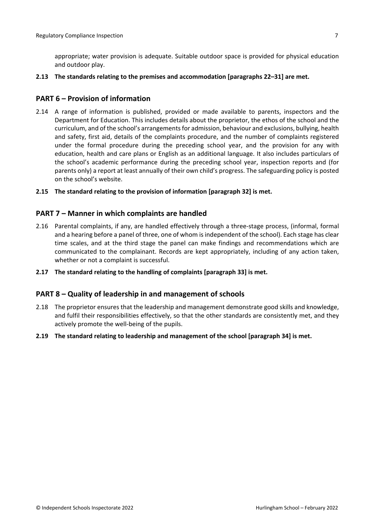appropriate; water provision is adequate. Suitable outdoor space is provided for physical education and outdoor play.

**2.13 The standards relating to the premises and accommodation [paragraphs 22–31] are met.**

#### <span id="page-6-0"></span>**PART 6 – Provision of information**

- 2.14 A range of information is published, provided or made available to parents, inspectors and the Department for Education. This includes details about the proprietor, the ethos of the school and the curriculum, and of the school's arrangementsfor admission, behaviour and exclusions, bullying, health and safety, first aid, details of the complaints procedure, and the number of complaints registered under the formal procedure during the preceding school year, and the provision for any with education, health and care plans or English as an additional language. It also includes particulars of the school's academic performance during the preceding school year, inspection reports and (for parents only) a report at least annually of their own child's progress. The safeguarding policy is posted on the school's website.
- **2.15 The standard relating to the provision of information [paragraph 32] is met.**

#### <span id="page-6-1"></span>**PART 7 – Manner in which complaints are handled**

- 2.16 Parental complaints, if any, are handled effectively through a three-stage process, (informal, formal and a hearing before a panel of three, one of whom isindependent of the school). Each stage has clear time scales, and at the third stage the panel can make findings and recommendations which are communicated to the complainant. Records are kept appropriately, including of any action taken, whether or not a complaint is successful.
- **2.17 The standard relating to the handling of complaints [paragraph 33] is met.**

#### <span id="page-6-2"></span>**PART 8 – Quality of leadership in and management of schools**

- 2.18 The proprietor ensures that the leadership and management demonstrate good skills and knowledge, and fulfil their responsibilities effectively, so that the other standards are consistently met, and they actively promote the well-being of the pupils.
- **2.19 The standard relating to leadership and management of the school [paragraph 34] is met.**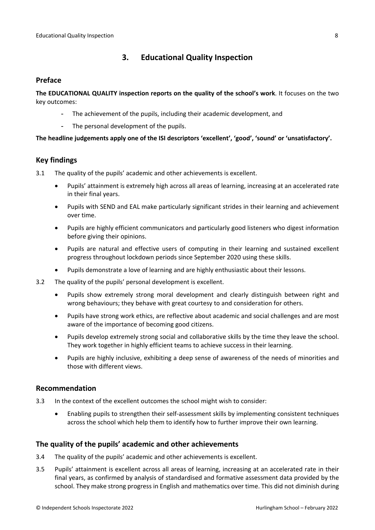# <span id="page-7-0"></span>**3. Educational Quality Inspection**

#### <span id="page-7-1"></span>**Preface**

**The EDUCATIONAL QUALITY inspection reports on the quality of the school's work**. It focuses on the two key outcomes:

- The achievement of the pupils, including their academic development, and
- The personal development of the pupils.

#### **The headline judgements apply one of the ISI descriptors 'excellent', 'good', 'sound' or 'unsatisfactory'.**

## <span id="page-7-2"></span>**Key findings**

- 3.1 The quality of the pupils' academic and other achievements is excellent.
	- Pupils' attainment is extremely high across all areas of learning, increasing at an accelerated rate in their final years.
	- Pupils with SEND and EAL make particularly significant strides in their learning and achievement over time.
	- Pupils are highly efficient communicators and particularly good listeners who digest information before giving their opinions.
	- Pupils are natural and effective users of computing in their learning and sustained excellent progress throughout lockdown periods since September 2020 using these skills.
	- Pupils demonstrate a love of learning and are highly enthusiastic about their lessons.
- 3.2 The quality of the pupils' personal development is excellent.
	- Pupils show extremely strong moral development and clearly distinguish between right and wrong behaviours; they behave with great courtesy to and consideration for others.
	- Pupils have strong work ethics, are reflective about academic and social challenges and are most aware of the importance of becoming good citizens.
	- Pupils develop extremely strong social and collaborative skills by the time they leave the school. They work together in highly efficient teams to achieve success in their learning.
	- Pupils are highly inclusive, exhibiting a deep sense of awareness of the needs of minorities and those with different views.

#### <span id="page-7-3"></span>**Recommendation**

- 3.3 In the context of the excellent outcomes the school might wish to consider:
	- Enabling pupils to strengthen their self-assessment skills by implementing consistent techniques across the school which help them to identify how to further improve their own learning.

## <span id="page-7-4"></span>**The quality of the pupils' academic and other achievements**

- 3.4 The quality of the pupils' academic and other achievements is excellent.
- 3.5 Pupils' attainment is excellent across all areas of learning, increasing at an accelerated rate in their final years, as confirmed by analysis of standardised and formative assessment data provided by the school. They make strong progress in English and mathematics over time. This did not diminish during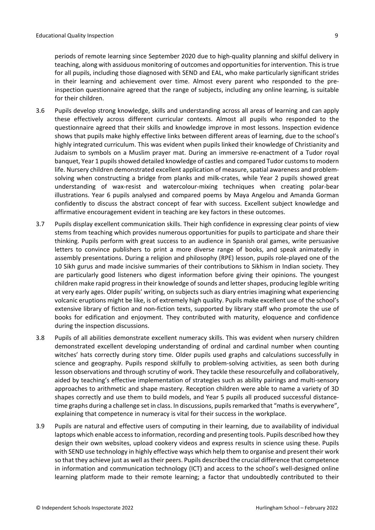periods of remote learning since September 2020 due to high-quality planning and skilful delivery in teaching, along with assiduous monitoring of outcomes and opportunities for intervention. This is true for all pupils, including those diagnosed with SEND and EAL, who make particularly significant strides in their learning and achievement over time. Almost every parent who responded to the preinspection questionnaire agreed that the range of subjects, including any online learning, is suitable for their children.

- 3.6 Pupils develop strong knowledge, skills and understanding across all areas of learning and can apply these effectively across different curricular contexts. Almost all pupils who responded to the questionnaire agreed that their skills and knowledge improve in most lessons. Inspection evidence shows that pupils make highly effective links between different areas of learning, due to the school's highly integrated curriculum. This was evident when pupils linked their knowledge of Christianity and Judaism to symbols on a Muslim prayer mat. During an immersive re-enactment of a Tudor royal banquet, Year 1 pupils showed detailed knowledge of castles and compared Tudor customs to modern life. Nursery children demonstrated excellent application of measure, spatial awareness and problemsolving when constructing a bridge from planks and milk-crates, while Year 2 pupils showed great understanding of wax-resist and watercolour-mixing techniques when creating polar-bear illustrations. Year 6 pupils analysed and compared poems by Maya Angelou and Amanda Gorman confidently to discuss the abstract concept of fear with success. Excellent subject knowledge and affirmative encouragement evident in teaching are key factors in these outcomes.
- 3.7 Pupils display excellent communication skills. Their high confidence in expressing clear points of view stems from teaching which provides numerous opportunities for pupils to participate and share their thinking. Pupils perform with great success to an audience in Spanish oral games, write persuasive letters to convince publishers to print a more diverse range of books, and speak animatedly in assembly presentations. During a religion and philosophy (RPE) lesson, pupils role-played one of the 10 Sikh gurus and made incisive summaries of their contributions to Sikhism in Indian society. They are particularly good listeners who digest information before giving their opinions. The youngest children make rapid progress in their knowledge of sounds and letter shapes, producing legible writing at very early ages. Older pupils' writing, on subjects such as diary entries imagining what experiencing volcanic eruptions might be like, is of extremely high quality. Pupils make excellent use of the school's extensive library of fiction and non-fiction texts, supported by library staff who promote the use of books for edification and enjoyment. They contributed with maturity, eloquence and confidence during the inspection discussions.
- 3.8 Pupils of all abilities demonstrate excellent numeracy skills. This was evident when nursery children demonstrated excellent developing understanding of ordinal and cardinal number when counting witches' hats correctly during story time. Older pupils used graphs and calculations successfully in science and geography. Pupils respond skilfully to problem-solving activities, as seen both during lesson observations and through scrutiny of work. They tackle these resourcefully and collaboratively, aided by teaching's effective implementation of strategies such as ability pairings and multi-sensory approaches to arithmetic and shape mastery. Reception children were able to name a variety of 3D shapes correctly and use them to build models, and Year 5 pupils all produced successful distancetime graphs during a challenge set in class. In discussions, pupils remarked that "maths is everywhere", explaining that competence in numeracy is vital for their success in the workplace.
- 3.9 Pupils are natural and effective users of computing in their learning, due to availability of individual laptops which enable access to information, recording and presenting tools. Pupils described how they design their own websites, upload cookery videos and express results in science using these. Pupils with SEND use technology in highly effective ways which help them to organise and present their work so that they achieve just as well as their peers. Pupils described the crucial difference that competence in information and communication technology (ICT) and access to the school's well-designed online learning platform made to their remote learning; a factor that undoubtedly contributed to their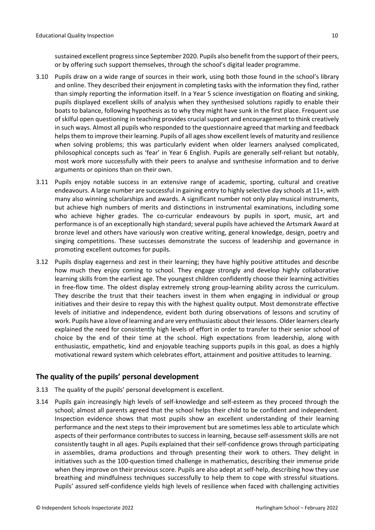sustained excellent progress since September 2020. Pupils also benefit from the support of their peers, or by offering such support themselves, through the school's digital leader programme.

- 3.10 Pupils draw on a wide range of sources in their work, using both those found in the school's library and online. They described their enjoyment in completing tasks with the information they find, rather than simply reporting the information itself. In a Year 5 science investigation on floating and sinking, pupils displayed excellent skills of analysis when they synthesised solutions rapidly to enable their boats to balance, following hypothesis as to why they might have sunk in the first place. Frequent use of skilful open questioning in teaching provides crucial support and encouragement to think creatively in such ways. Almost all pupils who responded to the questionnaire agreed that marking and feedback helps them to improve their learning. Pupils of all ages show excellent levels of maturity and resilience when solving problems; this was particularly evident when older learners analysed complicated, philosophical concepts such as 'fear' in Year 6 English. Pupils are generally self-reliant but notably, most work more successfully with their peers to analyse and synthesise information and to derive arguments or opinions than on their own.
- 3.11 Pupils enjoy notable success in an extensive range of academic, sporting, cultural and creative endeavours. A large number are successful in gaining entry to highly selective day schools at 11+, with many also winning scholarships and awards. A significant number not only play musical instruments, but achieve high numbers of merits and distinctions in instrumental examinations, including some who achieve higher grades. The co-curricular endeavours by pupils in sport, music, art and performance is of an exceptionally high standard; several pupils have achieved the Artsmark Award at bronze level and others have variously won creative writing, general knowledge, design, poetry and singing competitions. These successes demonstrate the success of leadership and governance in promoting excellent outcomes for pupils.
- 3.12 Pupils display eagerness and zest in their learning; they have highly positive attitudes and describe how much they enjoy coming to school. They engage strongly and develop highly collaborative learning skills from the earliest age. The youngest children confidently choose their learning activities in free-flow time. The oldest display extremely strong group-learning ability across the curriculum. They describe the trust that their teachers invest in them when engaging in individual or group initiatives and their desire to repay this with the highest quality output. Most demonstrate effective levels of initiative and independence, evident both during observations of lessons and scrutiny of work. Pupils have a love of learning and are very enthusiastic about their lessons. Older learners clearly explained the need for consistently high levels of effort in order to transfer to their senior school of choice by the end of their time at the school. High expectations from leadership, along with enthusiastic, empathetic, kind and enjoyable teaching supports pupils in this goal, as does a highly motivational reward system which celebrates effort, attainment and positive attitudes to learning.

## <span id="page-9-0"></span>**The quality of the pupils' personal development**

- 3.13 The quality of the pupils' personal development is excellent.
- 3.14 Pupils gain increasingly high levels of self-knowledge and self-esteem as they proceed through the school; almost all parents agreed that the school helps their child to be confident and independent. Inspection evidence shows that most pupils show an excellent understanding of their learning performance and the next steps to their improvement but are sometimes less able to articulate which aspects of their performance contributes to success in learning, because self-assessment skills are not consistently taught in all ages. Pupils explained that their self-confidence grows through participating in assemblies, drama productions and through presenting their work to others. They delight in initiatives such as the 100-question timed challenge in mathematics, describing their immense pride when they improve on their previous score. Pupils are also adept at self-help, describing how they use breathing and mindfulness techniques successfully to help them to cope with stressful situations. Pupils' assured self-confidence yields high levels of resilience when faced with challenging activities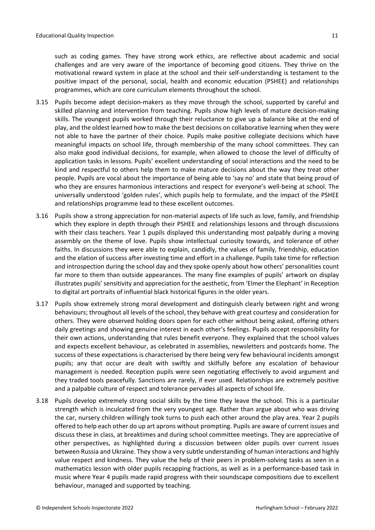such as coding games. They have strong work ethics, are reflective about academic and social challenges and are very aware of the importance of becoming good citizens. They thrive on the motivational reward system in place at the school and their self-understanding is testament to the positive impact of the personal, social, health and economic education (PSHEE) and relationships programmes, which are core curriculum elements throughout the school.

- 3.15 Pupils become adept decision-makers as they move through the school, supported by careful and skilled planning and intervention from teaching. Pupils show high levels of mature decision-making skills. The youngest pupils worked through their reluctance to give up a balance bike at the end of play, and the oldest learned how to make the best decisions on collaborative learning when they were not able to have the partner of their choice. Pupils make positive collegiate decisions which have meaningful impacts on school life, through membership of the many school committees. They can also make good individual decisions, for example, when allowed to choose the level of difficulty of application tasks in lessons. Pupils' excellent understanding of social interactions and the need to be kind and respectful to others help them to make mature decisions about the way they treat other people. Pupils are vocal about the importance of being able to 'say no' and state that being proud of who they are ensures harmonious interactions and respect for everyone's well-being at school. The universally understood 'golden rules', which pupils help to formulate, and the impact of the PSHEE and relationships programme lead to these excellent outcomes.
- 3.16 Pupils show a strong appreciation for non-material aspects of life such as love, family, and friendship which they explore in depth through their PSHEE and relationships lessons and through discussions with their class teachers. Year 1 pupils displayed this understanding most palpably during a moving assembly on the theme of love. Pupils show intellectual curiosity towards, and tolerance of other faiths. In discussions they were able to explain, candidly, the values of family, friendship, education and the elation of success after investing time and effort in a challenge. Pupils take time for reflection and introspection during the school day and they spoke openly about how others' personalities count far more to them than outside appearances. The many fine examples of pupils' artwork on display illustrates pupils'sensitivity and appreciation for the aesthetic, from 'Elmer the Elephant' in Reception to digital art portraits of influential black historical figures in the older years.
- 3.17 Pupils show extremely strong moral development and distinguish clearly between right and wrong behaviours; throughout all levels of the school, they behave with great courtesy and consideration for others. They were observed holding doors open for each other without being asked, offering others daily greetings and showing genuine interest in each other's feelings. Pupils accept responsibility for their own actions, understanding that rules benefit everyone. They explained that the school values and expects excellent behaviour, as celebrated in assemblies, newsletters and postcards home. The success of these expectations is characterised by there being very few behavioural incidents amongst pupils; any that occur are dealt with swiftly and skilfully before any escalation of behaviour management is needed. Reception pupils were seen negotiating effectively to avoid argument and they traded tools peacefully. Sanctions are rarely, if ever used. Relationships are extremely positive and a palpable culture of respect and tolerance pervades all aspects of school life.
- 3.18 Pupils develop extremely strong social skills by the time they leave the school. This is a particular strength which is inculcated from the very youngest age. Rather than argue about who was driving the car, nursery children willingly took turns to push each other around the play area. Year 2 pupils offered to help each other do up art aprons without prompting. Pupils are aware of current issues and discuss these in class, at breaktimes and during school committee meetings. They are appreciative of other perspectives, as highlighted during a discussion between older pupils over current issues between Russia and Ukraine. They show a very subtle understanding of human interactions and highly value respect and kindness. They value the help of their peers in problem-solving tasks as seen in a mathematics lesson with older pupils recapping fractions, as well as in a performance-based task in music where Year 4 pupils made rapid progress with their soundscape compositions due to excellent behaviour, managed and supported by teaching.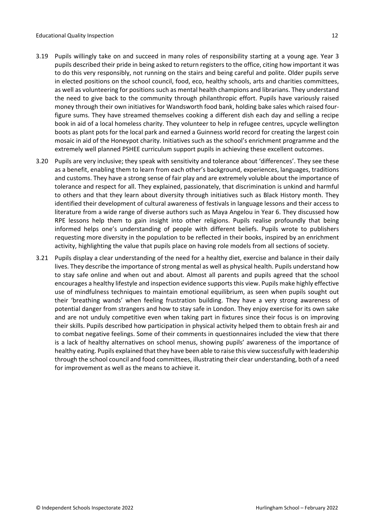- 3.19 Pupils willingly take on and succeed in many roles of responsibility starting at a young age. Year 3 pupils described their pride in being asked to return registers to the office, citing how important it was to do this very responsibly, not running on the stairs and being careful and polite. Older pupils serve in elected positions on the school council, food, eco, healthy schools, arts and charities committees, as well as volunteering for positions such as mental health champions and librarians. They understand the need to give back to the community through philanthropic effort. Pupils have variously raised money through their own initiatives for Wandsworth food bank, holding bake sales which raised fourfigure sums. They have streamed themselves cooking a different dish each day and selling a recipe book in aid of a local homeless charity. They volunteer to help in refugee centres, upcycle wellington boots as plant pots for the local park and earned a Guinness world record for creating the largest coin mosaic in aid of the Honeypot charity. Initiatives such as the school's enrichment programme and the extremely well planned PSHEE curriculum support pupils in achieving these excellent outcomes.
- 3.20 Pupils are very inclusive; they speak with sensitivity and tolerance about 'differences'. They see these as a benefit, enabling them to learn from each other's background, experiences, languages, traditions and customs. They have a strong sense of fair play and are extremely voluble about the importance of tolerance and respect for all. They explained, passionately, that discrimination is unkind and harmful to others and that they learn about diversity through initiatives such as Black History month. They identified their development of cultural awareness of festivals in language lessons and their access to literature from a wide range of diverse authors such as Maya Angelou in Year 6. They discussed how RPE lessons help them to gain insight into other religions. Pupils realise profoundly that being informed helps one's understanding of people with different beliefs. Pupils wrote to publishers requesting more diversity in the population to be reflected in their books, inspired by an enrichment activity, highlighting the value that pupils place on having role models from all sections of society.
- 3.21 Pupils display a clear understanding of the need for a healthy diet, exercise and balance in their daily lives. They describe the importance of strong mental as well as physical health. Pupils understand how to stay safe online and when out and about. Almost all parents and pupils agreed that the school encourages a healthy lifestyle and inspection evidence supportsthis view. Pupils make highly effective use of mindfulness techniques to maintain emotional equilibrium, as seen when pupils sought out their 'breathing wands' when feeling frustration building. They have a very strong awareness of potential danger from strangers and how to stay safe in London. They enjoy exercise for its own sake and are not unduly competitive even when taking part in fixtures since their focus is on improving their skills. Pupils described how participation in physical activity helped them to obtain fresh air and to combat negative feelings. Some of their comments in questionnaires included the view that there is a lack of healthy alternatives on school menus, showing pupils' awareness of the importance of healthy eating. Pupils explained that they have been able to raise this view successfully with leadership through the school council and food committees, illustrating their clear understanding, both of a need for improvement as well as the means to achieve it.